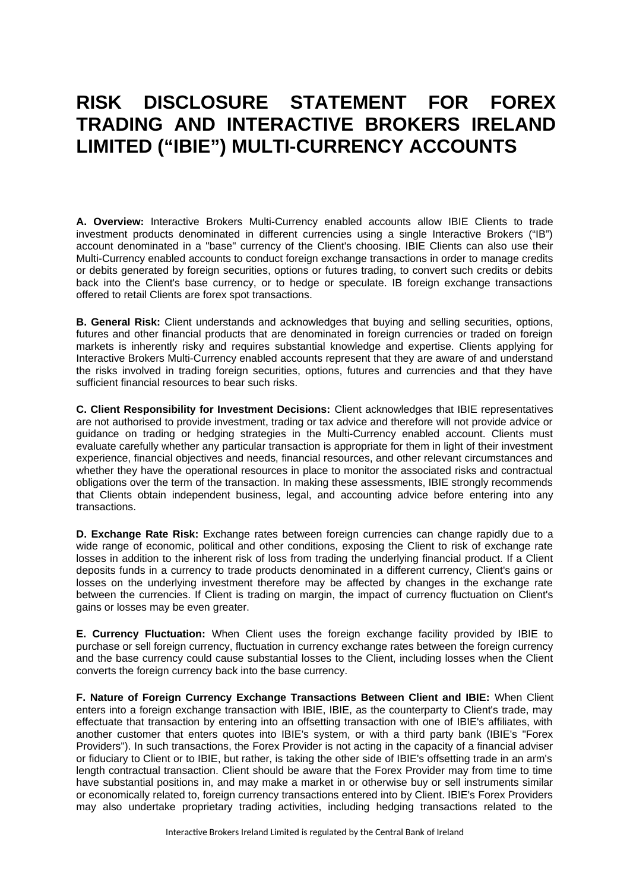## **RISK DISCLOSURE STATEMENT FOR FOREX TRADING AND INTERACTIVE BROKERS IRELAND LIMITED ("IBIE") MULTI-CURRENCY ACCOUNTS**

**A. Overview:** Interactive Brokers Multi-Currency enabled accounts allow IBIE Clients to trade investment products denominated in different currencies using a single Interactive Brokers ("IB") account denominated in a "base" currency of the Client's choosing. IBIE Clients can also use their Multi-Currency enabled accounts to conduct foreign exchange transactions in order to manage credits or debits generated by foreign securities, options or futures trading, to convert such credits or debits back into the Client's base currency, or to hedge or speculate. IB foreign exchange transactions offered to retail Clients are forex spot transactions.

**B. General Risk:** Client understands and acknowledges that buying and selling securities, options, futures and other financial products that are denominated in foreign currencies or traded on foreign markets is inherently risky and requires substantial knowledge and expertise. Clients applying for Interactive Brokers Multi-Currency enabled accounts represent that they are aware of and understand the risks involved in trading foreign securities, options, futures and currencies and that they have sufficient financial resources to bear such risks.

**C. Client Responsibility for Investment Decisions:** Client acknowledges that IBIE representatives are not authorised to provide investment, trading or tax advice and therefore will not provide advice or guidance on trading or hedging strategies in the Multi-Currency enabled account. Clients must evaluate carefully whether any particular transaction is appropriate for them in light of their investment experience, financial objectives and needs, financial resources, and other relevant circumstances and whether they have the operational resources in place to monitor the associated risks and contractual obligations over the term of the transaction. In making these assessments, IBIE strongly recommends that Clients obtain independent business, legal, and accounting advice before entering into any transactions.

**D. Exchange Rate Risk:** Exchange rates between foreign currencies can change rapidly due to a wide range of economic, political and other conditions, exposing the Client to risk of exchange rate losses in addition to the inherent risk of loss from trading the underlying financial product. If a Client deposits funds in a currency to trade products denominated in a different currency, Client's gains or losses on the underlying investment therefore may be affected by changes in the exchange rate between the currencies. If Client is trading on margin, the impact of currency fluctuation on Client's gains or losses may be even greater.

**E. Currency Fluctuation:** When Client uses the foreign exchange facility provided by IBIE to purchase or sell foreign currency, fluctuation in currency exchange rates between the foreign currency and the base currency could cause substantial losses to the Client, including losses when the Client converts the foreign currency back into the base currency.

**F. Nature of Foreign Currency Exchange Transactions Between Client and IBIE:** When Client enters into a foreign exchange transaction with IBIE, IBIE, as the counterparty to Client's trade, may effectuate that transaction by entering into an offsetting transaction with one of IBIE's affiliates, with another customer that enters quotes into IBIE's system, or with a third party bank (IBIE's "Forex Providers"). In such transactions, the Forex Provider is not acting in the capacity of a financial adviser or fiduciary to Client or to IBIE, but rather, is taking the other side of IBIE's offsetting trade in an arm's length contractual transaction. Client should be aware that the Forex Provider may from time to time have substantial positions in, and may make a market in or otherwise buy or sell instruments similar or economically related to, foreign currency transactions entered into by Client. IBIE's Forex Providers may also undertake proprietary trading activities, including hedging transactions related to the